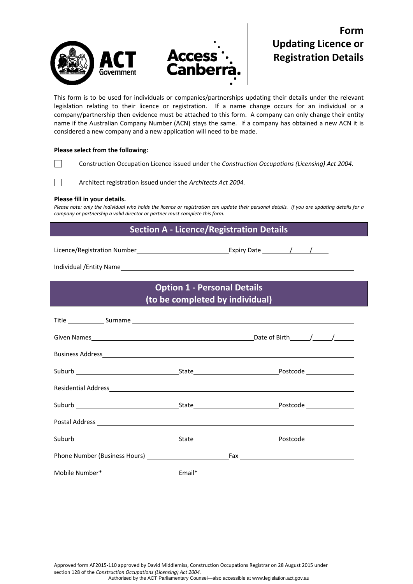

# **Form Updating Licence or Registration Details**

This form is to be used for individuals or companies/partnerships updating their details under the relevant legislation relating to their licence or registration. If a name change occurs for an individual or a company/partnership then evidence must be attached to this form. A company can only change their entity name if the Australian Company Number (ACN) stays the same. If a company has obtained a new ACN it is considered a new company and a new application will need to be made.

### **Please select from the following:**

Construction Occupation Licence issued under the *Construction Occupations (Licensing) Act 2004.*

 $\overline{\phantom{a}}$  and  $\overline{\phantom{a}}$ Architect registration issued under the *Architects Act 2004.*

#### **Please fill in your details.**

Please note: only the individual who holds the licence or registration can update their personal details. If you are updating details for a *company or partnership a valid director or partner must complete this form.*

### **Section A ‐ Licence/Registration Details**

Licence/Registration Number **Mature 2018** Expiry Date <u>2018 / 2018</u>

Individual /Entity Name

## **Option 1 ‐ Personal Details (to be completed by individual)**

| Residential Address et al. 2010 and 2010 and 2010 and 2010 and 2010 and 2010 and 2010 and 2010 and 2010 and 20 |                                                                                   |
|----------------------------------------------------------------------------------------------------------------|-----------------------------------------------------------------------------------|
|                                                                                                                |                                                                                   |
|                                                                                                                |                                                                                   |
|                                                                                                                |                                                                                   |
|                                                                                                                |                                                                                   |
|                                                                                                                | Mobile Number* ______________________________Email*______________________________ |

Approved form AF2015‐110 approved by David Middlemiss, Construction Occupations Registrar on 28 August 2015 under section 128 of the *Construction Occupations (Licensing) Act 2004.* Authorised by the ACT Parliamentary Counsel—also accessible at www.legislation.act.gov.au